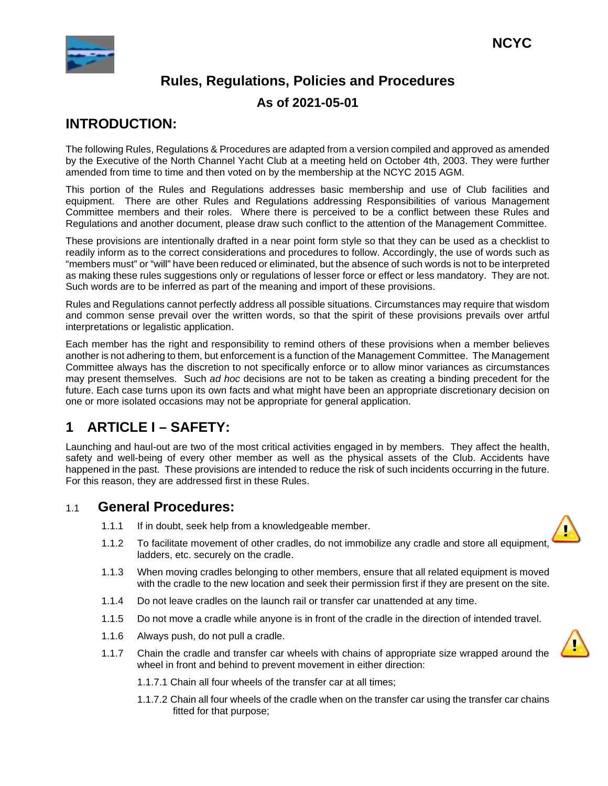

# **INTRODUCTION:**

The following Rules, Regulations & Procedures are adapted from a version compiled and approved as amended by the Executive of the North Channel Yacht Club at a meeting held on October 4th, 2003. They were further amended from time to time and then voted on by the membership at the NCYC 2015 AGM.

This portion of the Rules and Regulations addresses basic membership and use of Club facilities and equipment. There are other Rules and Regulations addressing Responsibilities of various Management Committee members and their roles. Where there is perceived to be a conflict between these Rules and Regulations and another document, please draw such conflict to the attention of the Management Committee.

These provisions are intentionally drafted in a near point form style so that they can be used as a checklist to readily inform as to the correct considerations and procedures to follow. Accordingly, the use of words such as "members must" or "will" have been reduced or eliminated, but the absence of such words is not to be interpreted as making these rules suggestions only or regulations of lesser force or effect or less mandatory. They are not. Such words are to be inferred as part of the meaning and import of these provisions.

Rules and Regulations cannot perfectly address all possible situations. Circumstances may require that wisdom and common sense prevail over the written words, so that the spirit of these provisions prevails over artful interpretations or legalistic application.

Each member has the right and responsibility to remind others of these provisions when a member believes another is not adhering to them, but enforcement is a function of the Management Committee. The Management Committee always has the discretion to not specifically enforce or to allow minor variances as circumstances may present themselves. Such *ad hoc* decisions are not to be taken as creating a binding precedent for the future. Each case turns upon its own facts and what might have been an appropriate discretionary decision on one or more isolated occasions may not be appropriate for general application.

# **1 ARTICLE I – SAFETY:**

Launching and haul-out are two of the most critical activities engaged in by members. They affect the health, safety and well-being of every other member as well as the physical assets of the Club. Accidents have happened in the past. These provisions are intended to reduce the risk of such incidents occurring in the future. For this reason, they are addressed first in these Rules.

# 1.1 **General Procedures:**

- 1.1.1 If in doubt, seek help from a knowledgeable member.
- 1.1.2 To facilitate movement of other cradles, do not immobilize any cradle and store all equipment, ladders, etc. securely on the cradle.
- 1.1.3 When moving cradles belonging to other members, ensure that all related equipment is moved with the cradle to the new location and seek their permission first if they are present on the site.
- 1.1.4 Do not leave cradles on the launch rail or transfer car unattended at any time.
- 1.1.5 Do not move a cradle while anyone is in front of the cradle in the direction of intended travel.
- 1.1.6 Always push, do not pull a cradle.
- 1.1.7 Chain the cradle and transfer car wheels with chains of appropriate size wrapped around the wheel in front and behind to prevent movement in either direction:
	- 1.1.7.1 Chain all four wheels of the transfer car at all times;
	- 1.1.7.2 Chain all four wheels of the cradle when on the transfer car using the transfer car chains fitted for that purpose;

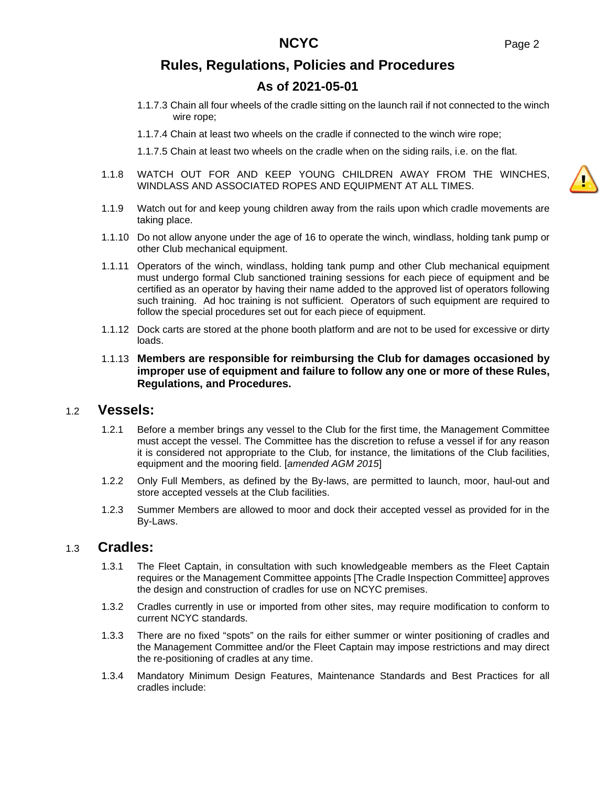# **As of 2021-05-01**

- 1.1.7.3 Chain all four wheels of the cradle sitting on the launch rail if not connected to the winch wire rope;
- 1.1.7.4 Chain at least two wheels on the cradle if connected to the winch wire rope;

1.1.7.5 Chain at least two wheels on the cradle when on the siding rails, i.e. on the flat.

- 1.1.8 WATCH OUT FOR AND KEEP YOUNG CHILDREN AWAY FROM THE WINCHES, WINDLASS AND ASSOCIATED ROPES AND EQUIPMENT AT ALL TIMES.
- 1.1.9 Watch out for and keep young children away from the rails upon which cradle movements are taking place.
- 1.1.10 Do not allow anyone under the age of 16 to operate the winch, windlass, holding tank pump or other Club mechanical equipment.
- 1.1.11 Operators of the winch, windlass, holding tank pump and other Club mechanical equipment must undergo formal Club sanctioned training sessions for each piece of equipment and be certified as an operator by having their name added to the approved list of operators following such training. Ad hoc training is not sufficient. Operators of such equipment are required to follow the special procedures set out for each piece of equipment.
- 1.1.12 Dock carts are stored at the phone booth platform and are not to be used for excessive or dirty loads.
- 1.1.13 **Members are responsible for reimbursing the Club for damages occasioned by improper use of equipment and failure to follow any one or more of these Rules, Regulations, and Procedures.**

### 1.2 **Vessels:**

- 1.2.1 Before a member brings any vessel to the Club for the first time, the Management Committee must accept the vessel. The Committee has the discretion to refuse a vessel if for any reason it is considered not appropriate to the Club, for instance, the limitations of the Club facilities, equipment and the mooring field. [*amended AGM 2015*]
- 1.2.2 Only Full Members, as defined by the By-laws, are permitted to launch, moor, haul-out and store accepted vessels at the Club facilities.
- 1.2.3 Summer Members are allowed to moor and dock their accepted vessel as provided for in the By-Laws.

### 1.3 **Cradles:**

- 1.3.1 The Fleet Captain, in consultation with such knowledgeable members as the Fleet Captain requires or the Management Committee appoints [The Cradle Inspection Committee] approves the design and construction of cradles for use on NCYC premises.
- 1.3.2 Cradles currently in use or imported from other sites, may require modification to conform to current NCYC standards.
- 1.3.3 There are no fixed "spots" on the rails for either summer or winter positioning of cradles and the Management Committee and/or the Fleet Captain may impose restrictions and may direct the re-positioning of cradles at any time.
- 1.3.4 Mandatory Minimum Design Features, Maintenance Standards and Best Practices for all cradles include:

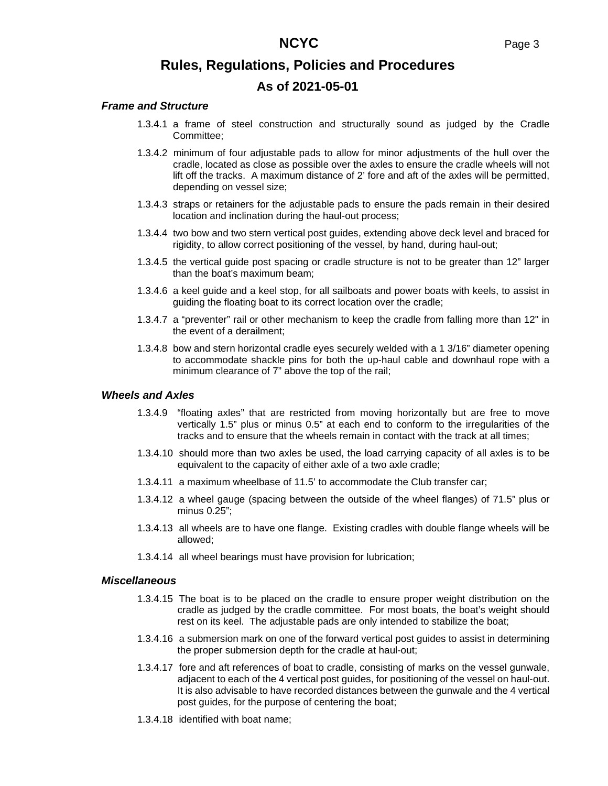#### *Frame and Structure*

- 1.3.4.1 a frame of steel construction and structurally sound as judged by the Cradle Committee;
- 1.3.4.2 minimum of four adjustable pads to allow for minor adjustments of the hull over the cradle, located as close as possible over the axles to ensure the cradle wheels will not lift off the tracks. A maximum distance of 2' fore and aft of the axles will be permitted, depending on vessel size;
- 1.3.4.3 straps or retainers for the adjustable pads to ensure the pads remain in their desired location and inclination during the haul-out process;
- 1.3.4.4 two bow and two stern vertical post guides, extending above deck level and braced for rigidity, to allow correct positioning of the vessel, by hand, during haul-out;
- 1.3.4.5 the vertical guide post spacing or cradle structure is not to be greater than 12" larger than the boat's maximum beam;
- 1.3.4.6 a keel guide and a keel stop, for all sailboats and power boats with keels, to assist in guiding the floating boat to its correct location over the cradle;
- 1.3.4.7 a "preventer" rail or other mechanism to keep the cradle from falling more than 12" in the event of a derailment;
- 1.3.4.8 bow and stern horizontal cradle eyes securely welded with a 1 3/16" diameter opening to accommodate shackle pins for both the up-haul cable and downhaul rope with a minimum clearance of 7" above the top of the rail;

#### *Wheels and Axles*

- 1.3.4.9 "floating axles" that are restricted from moving horizontally but are free to move vertically 1.5" plus or minus 0.5" at each end to conform to the irregularities of the tracks and to ensure that the wheels remain in contact with the track at all times;
- 1.3.4.10 should more than two axles be used, the load carrying capacity of all axles is to be equivalent to the capacity of either axle of a two axle cradle;
- 1.3.4.11 a maximum wheelbase of 11.5' to accommodate the Club transfer car;
- 1.3.4.12 a wheel gauge (spacing between the outside of the wheel flanges) of 71.5" plus or minus 0.25";
- 1.3.4.13 all wheels are to have one flange. Existing cradles with double flange wheels will be allowed;
- 1.3.4.14 all wheel bearings must have provision for lubrication;

#### *Miscellaneous*

- 1.3.4.15 The boat is to be placed on the cradle to ensure proper weight distribution on the cradle as judged by the cradle committee. For most boats, the boat's weight should rest on its keel. The adjustable pads are only intended to stabilize the boat;
- 1.3.4.16 a submersion mark on one of the forward vertical post guides to assist in determining the proper submersion depth for the cradle at haul-out;
- 1.3.4.17 fore and aft references of boat to cradle, consisting of marks on the vessel gunwale, adjacent to each of the 4 vertical post guides, for positioning of the vessel on haul-out. It is also advisable to have recorded distances between the gunwale and the 4 vertical post guides, for the purpose of centering the boat;
- 1.3.4.18 identified with boat name;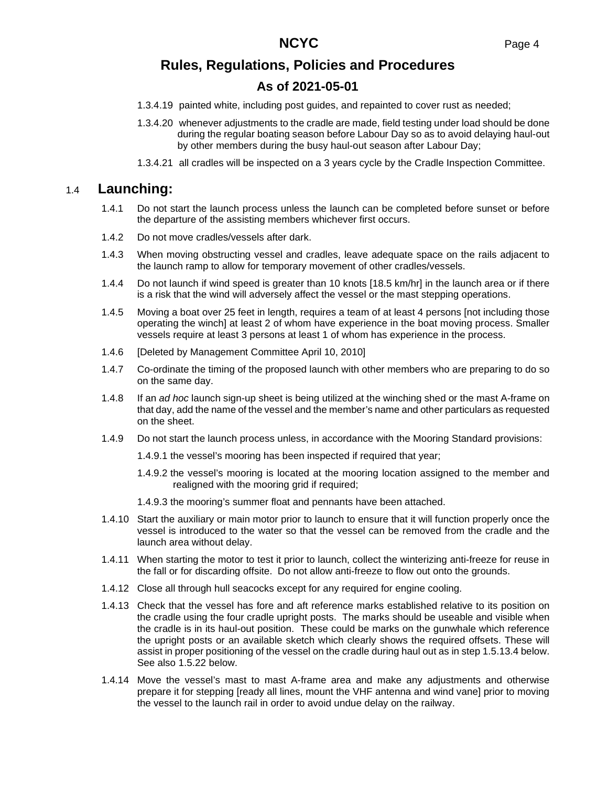# **As of 2021-05-01**

- 1.3.4.19 painted white, including post guides, and repainted to cover rust as needed;
- 1.3.4.20 whenever adjustments to the cradle are made, field testing under load should be done during the regular boating season before Labour Day so as to avoid delaying haul-out by other members during the busy haul-out season after Labour Day;
- 1.3.4.21 all cradles will be inspected on a 3 years cycle by the Cradle Inspection Committee.

### 1.4 **Launching:**

- 1.4.1 Do not start the launch process unless the launch can be completed before sunset or before the departure of the assisting members whichever first occurs.
- 1.4.2 Do not move cradles/vessels after dark.
- 1.4.3 When moving obstructing vessel and cradles, leave adequate space on the rails adjacent to the launch ramp to allow for temporary movement of other cradles/vessels.
- 1.4.4 Do not launch if wind speed is greater than 10 knots [18.5 km/hr] in the launch area or if there is a risk that the wind will adversely affect the vessel or the mast stepping operations.
- 1.4.5 Moving a boat over 25 feet in length, requires a team of at least 4 persons [not including those operating the winch] at least 2 of whom have experience in the boat moving process. Smaller vessels require at least 3 persons at least 1 of whom has experience in the process.
- 1.4.6 [Deleted by Management Committee April 10, 2010]
- 1.4.7 Co-ordinate the timing of the proposed launch with other members who are preparing to do so on the same day.
- 1.4.8 If an *ad hoc* launch sign-up sheet is being utilized at the winching shed or the mast A-frame on that day, add the name of the vessel and the member's name and other particulars as requested on the sheet.
- 1.4.9 Do not start the launch process unless, in accordance with the Mooring Standard provisions:
	- 1.4.9.1 the vessel's mooring has been inspected if required that year;
	- 1.4.9.2 the vessel's mooring is located at the mooring location assigned to the member and realigned with the mooring grid if required;
	- 1.4.9.3 the mooring's summer float and pennants have been attached.
- 1.4.10 Start the auxiliary or main motor prior to launch to ensure that it will function properly once the vessel is introduced to the water so that the vessel can be removed from the cradle and the launch area without delay.
- 1.4.11 When starting the motor to test it prior to launch, collect the winterizing anti-freeze for reuse in the fall or for discarding offsite. Do not allow anti-freeze to flow out onto the grounds.
- 1.4.12 Close all through hull seacocks except for any required for engine cooling.
- 1.4.13 Check that the vessel has fore and aft reference marks established relative to its position on the cradle using the four cradle upright posts. The marks should be useable and visible when the cradle is in its haul-out position. These could be marks on the gunwhale which reference the upright posts or an available sketch which clearly shows the required offsets. These will assist in proper positioning of the vessel on the cradle during haul out as in step [1.5.13.4 below.](#page-5-0) See also [1.5.22 below.](#page-6-0)
- 1.4.14 Move the vessel's mast to mast A-frame area and make any adjustments and otherwise prepare it for stepping [ready all lines, mount the VHF antenna and wind vane] prior to moving the vessel to the launch rail in order to avoid undue delay on the railway.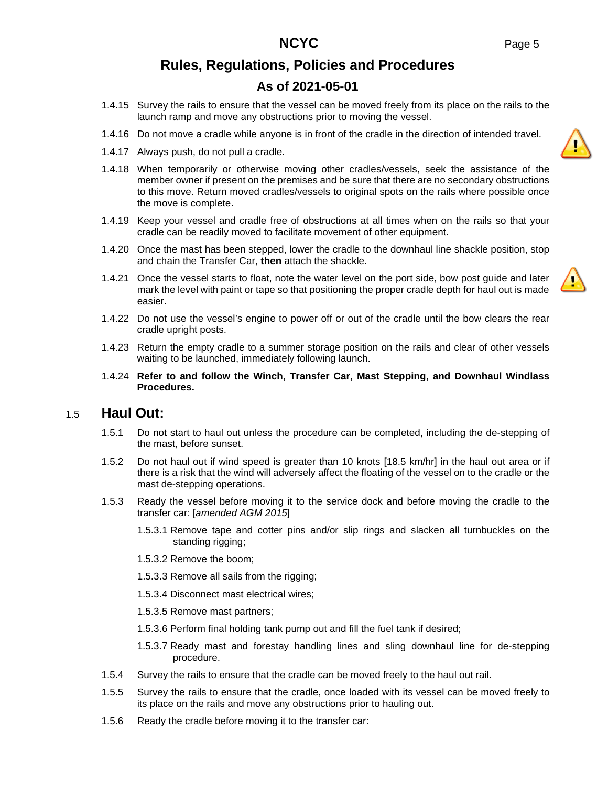# **As of 2021-05-01**

- 1.4.15 Survey the rails to ensure that the vessel can be moved freely from its place on the rails to the launch ramp and move any obstructions prior to moving the vessel.
- 1.4.16 Do not move a cradle while anyone is in front of the cradle in the direction of intended travel.
- 1.4.17 Always push, do not pull a cradle.
- 1.4.18 When temporarily or otherwise moving other cradles/vessels, seek the assistance of the member owner if present on the premises and be sure that there are no secondary obstructions to this move. Return moved cradles/vessels to original spots on the rails where possible once the move is complete.
- 1.4.19 Keep your vessel and cradle free of obstructions at all times when on the rails so that your cradle can be readily moved to facilitate movement of other equipment.
- 1.4.20 Once the mast has been stepped, lower the cradle to the downhaul line shackle position, stop and chain the Transfer Car, **then** attach the shackle.
- 1.4.21 Once the vessel starts to float, note the water level on the port side, bow post guide and later mark the level with paint or tape so that positioning the proper cradle depth for haul out is made easier.
- 1.4.22 Do not use the vessel's engine to power off or out of the cradle until the bow clears the rear cradle upright posts.
- 1.4.23 Return the empty cradle to a summer storage position on the rails and clear of other vessels waiting to be launched, immediately following launch.
- 1.4.24 **Refer to and follow the Winch, Transfer Car, Mast Stepping, and Downhaul Windlass Procedures.**

### 1.5 **Haul Out:**

- 1.5.1 Do not start to haul out unless the procedure can be completed, including the de-stepping of the mast, before sunset.
- 1.5.2 Do not haul out if wind speed is greater than 10 knots [18.5 km/hr] in the haul out area or if there is a risk that the wind will adversely affect the floating of the vessel on to the cradle or the mast de-stepping operations.
- 1.5.3 Ready the vessel before moving it to the service dock and before moving the cradle to the transfer car: [*amended AGM 2015*]
	- 1.5.3.1 Remove tape and cotter pins and/or slip rings and slacken all turnbuckles on the standing rigging;
	- 1.5.3.2 Remove the boom;
	- 1.5.3.3 Remove all sails from the rigging;
	- 1.5.3.4 Disconnect mast electrical wires;
	- 1.5.3.5 Remove mast partners;
	- 1.5.3.6 Perform final holding tank pump out and fill the fuel tank if desired;
	- 1.5.3.7 Ready mast and forestay handling lines and sling downhaul line for de-stepping procedure.
- 1.5.4 Survey the rails to ensure that the cradle can be moved freely to the haul out rail.
- 1.5.5 Survey the rails to ensure that the cradle, once loaded with its vessel can be moved freely to its place on the rails and move any obstructions prior to hauling out.
- 1.5.6 Ready the cradle before moving it to the transfer car:

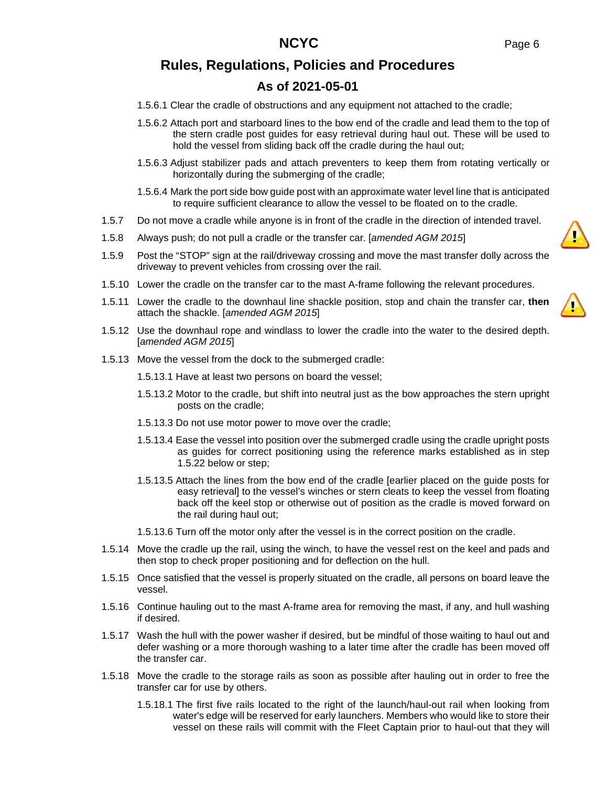# **As of 2021-05-01**

- 1.5.6.1 Clear the cradle of obstructions and any equipment not attached to the cradle;
- 1.5.6.2 Attach port and starboard lines to the bow end of the cradle and lead them to the top of the stern cradle post guides for easy retrieval during haul out. These will be used to hold the vessel from sliding back off the cradle during the haul out;
- 1.5.6.3 Adjust stabilizer pads and attach preventers to keep them from rotating vertically or horizontally during the submerging of the cradle;
- 1.5.6.4 Mark the port side bow guide post with an approximate water level line that is anticipated to require sufficient clearance to allow the vessel to be floated on to the cradle.
- 1.5.7 Do not move a cradle while anyone is in front of the cradle in the direction of intended travel.
- 1.5.8 Always push; do not pull a cradle or the transfer car. [*amended AGM 2015*]
- 1.5.9 Post the "STOP" sign at the rail/driveway crossing and move the mast transfer dolly across the driveway to prevent vehicles from crossing over the rail.
- 1.5.10 Lower the cradle on the transfer car to the mast A-frame following the relevant procedures.
- 1.5.11 Lower the cradle to the downhaul line shackle position, stop and chain the transfer car, **then** attach the shackle. [*amended AGM 2015*]
- 1.5.12 Use the downhaul rope and windlass to lower the cradle into the water to the desired depth. [*amended AGM 2015*]
- 1.5.13 Move the vessel from the dock to the submerged cradle:

1.5.13.1 Have at least two persons on board the vessel;

- 1.5.13.2 Motor to the cradle, but shift into neutral just as the bow approaches the stern upright posts on the cradle;
- 1.5.13.3 Do not use motor power to move over the cradle;
- <span id="page-5-0"></span>1.5.13.4 Ease the vessel into position over the submerged cradle using the cradle upright posts as guides for correct positioning using the reference marks established as in step [1.5.22 below](#page-6-0) or step;
- 1.5.13.5 Attach the lines from the bow end of the cradle [earlier placed on the guide posts for easy retrieval] to the vessel's winches or stern cleats to keep the vessel from floating back off the keel stop or otherwise out of position as the cradle is moved forward on the rail during haul out;
- 1.5.13.6 Turn off the motor only after the vessel is in the correct position on the cradle.
- 1.5.14 Move the cradle up the rail, using the winch, to have the vessel rest on the keel and pads and then stop to check proper positioning and for deflection on the hull.
- 1.5.15 Once satisfied that the vessel is properly situated on the cradle, all persons on board leave the vessel.
- 1.5.16 Continue hauling out to the mast A-frame area for removing the mast, if any, and hull washing if desired.
- 1.5.17 Wash the hull with the power washer if desired, but be mindful of those waiting to haul out and defer washing or a more thorough washing to a later time after the cradle has been moved off the transfer car.
- 1.5.18 Move the cradle to the storage rails as soon as possible after hauling out in order to free the transfer car for use by others.
	- 1.5.18.1 The first five rails located to the right of the launch/haul-out rail when looking from water's edge will be reserved for early launchers. Members who would like to store their vessel on these rails will commit with the Fleet Captain prior to haul-out that they will

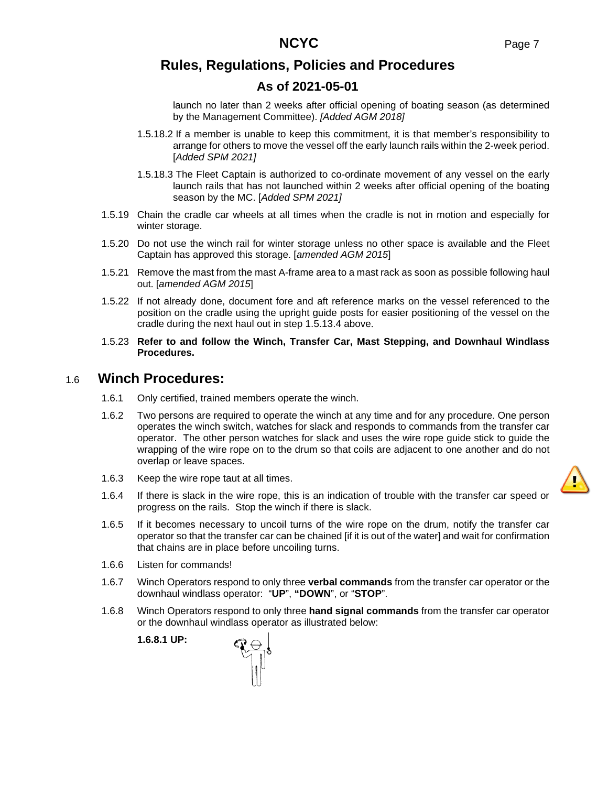# **As of 2021-05-01**

launch no later than 2 weeks after official opening of boating season (as determined by the Management Committee). *[Added AGM 2018]*

- 1.5.18.2 If a member is unable to keep this commitment, it is that member's responsibility to arrange for others to move the vessel off the early launch rails within the 2-week period. [*Added SPM 2021]*
- 1.5.18.3 The Fleet Captain is authorized to co-ordinate movement of any vessel on the early launch rails that has not launched within 2 weeks after official opening of the boating season by the MC. [*Added SPM 2021]*
- 1.5.19 Chain the cradle car wheels at all times when the cradle is not in motion and especially for winter storage.
- 1.5.20 Do not use the winch rail for winter storage unless no other space is available and the Fleet Captain has approved this storage. [*amended AGM 2015*]
- 1.5.21 Remove the mast from the mast A-frame area to a mast rack as soon as possible following haul out. [*amended AGM 2015*]
- <span id="page-6-0"></span>1.5.22 If not already done, document fore and aft reference marks on the vessel referenced to the position on the cradle using the upright guide posts for easier positioning of the vessel on the cradle during the next haul out in step [1.5.13.4 above](#page-5-0).
- 1.5.23 **Refer to and follow the Winch, Transfer Car, Mast Stepping, and Downhaul Windlass Procedures.**

### 1.6 **Winch Procedures:**

- 1.6.1 Only certified, trained members operate the winch.
- 1.6.2 Two persons are required to operate the winch at any time and for any procedure. One person operates the winch switch, watches for slack and responds to commands from the transfer car operator. The other person watches for slack and uses the wire rope guide stick to guide the wrapping of the wire rope on to the drum so that coils are adjacent to one another and do not overlap or leave spaces.
- 1.6.3 Keep the wire rope taut at all times.
- 1.6.4 If there is slack in the wire rope, this is an indication of trouble with the transfer car speed or progress on the rails. Stop the winch if there is slack.
- 1.6.5 If it becomes necessary to uncoil turns of the wire rope on the drum, notify the transfer car operator so that the transfer car can be chained [if it is out of the water] and wait for confirmation that chains are in place before uncoiling turns.
- 1.6.6 Listen for commands!
- 1.6.7 Winch Operators respond to only three **verbal commands** from the transfer car operator or the downhaul windlass operator: "**UP**", **"DOWN**", or "**STOP**".
- 1.6.8 Winch Operators respond to only three **hand signal commands** from the transfer car operator or the downhaul windlass operator as illustrated below:

**1.6.8.1 UP:**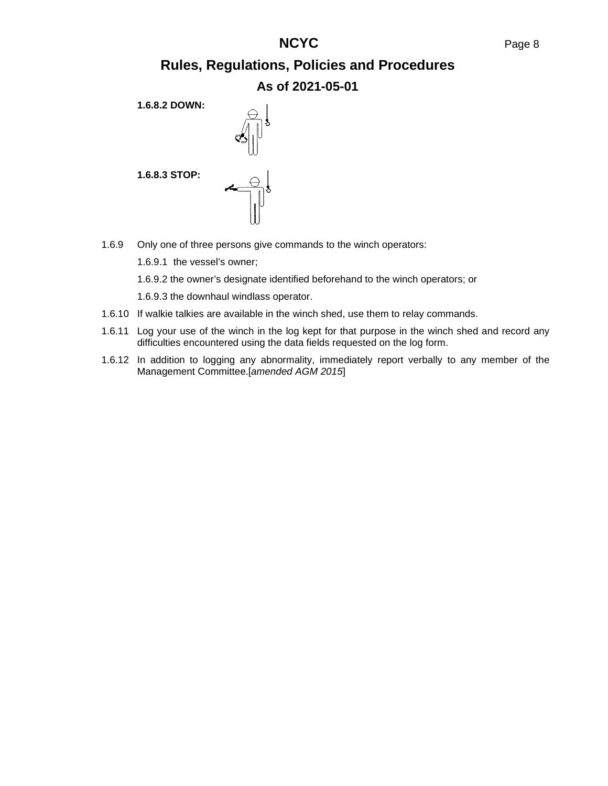# **NCYC** Page 8

# **Rules, Regulations, Policies and Procedures As of 2021-05-01**

**1.6.8.2 DOWN:**



**1.6.8.3 STOP:**

1.6.9 Only one of three persons give commands to the winch operators:

1.6.9.1 the vessel's owner;

1.6.9.2 the owner's designate identified beforehand to the winch operators; or

1.6.9.3 the downhaul windlass operator.

- 1.6.10 If walkie talkies are available in the winch shed, use them to relay commands.
- 1.6.11 Log your use of the winch in the log kept for that purpose in the winch shed and record any difficulties encountered using the data fields requested on the log form.
- 1.6.12 In addition to logging any abnormality, immediately report verbally to any member of the Management Committee.[*amended AGM 2015*]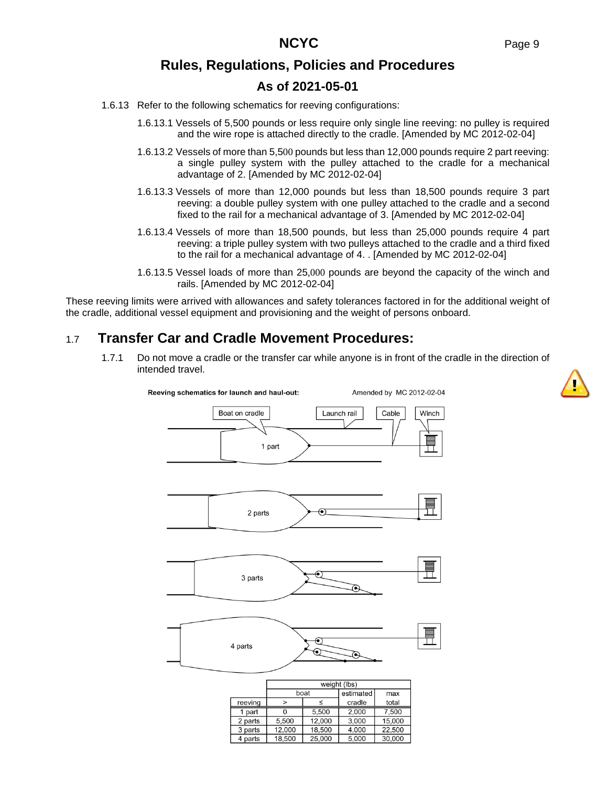# **As of 2021-05-01**

- <span id="page-8-0"></span>1.6.13 Refer to the following schematics for reeving configurations:
	- 1.6.13.1 Vessels of 5,500 pounds or less require only single line reeving: no pulley is required and the wire rope is attached directly to the cradle. [Amended by MC 2012-02-04]
	- 1.6.13.2 Vessels of more than 5,500 pounds but less than 12,000 pounds require 2 part reeving: a single pulley system with the pulley attached to the cradle for a mechanical advantage of 2. [Amended by MC 2012-02-04]
	- 1.6.13.3 Vessels of more than 12,000 pounds but less than 18,500 pounds require 3 part reeving: a double pulley system with one pulley attached to the cradle and a second fixed to the rail for a mechanical advantage of 3. [Amended by MC 2012-02-04]
	- 1.6.13.4 Vessels of more than 18,500 pounds, but less than 25,000 pounds require 4 part reeving: a triple pulley system with two pulleys attached to the cradle and a third fixed to the rail for a mechanical advantage of 4. . [Amended by MC 2012-02-04]
	- 1.6.13.5 Vessel loads of more than 25,000 pounds are beyond the capacity of the winch and rails. [Amended by MC 2012-02-04]

These reeving limits were arrived with allowances and safety tolerances factored in for the additional weight of the cradle, additional vessel equipment and provisioning and the weight of persons onboard.

# 1.7 **Transfer Car and Cradle Movement Procedures:**

1.7.1 Do not move a cradle or the transfer car while anyone is in front of the cradle in the direction of intended travel.



5,000

30,000

25,000

4 parts

18,500

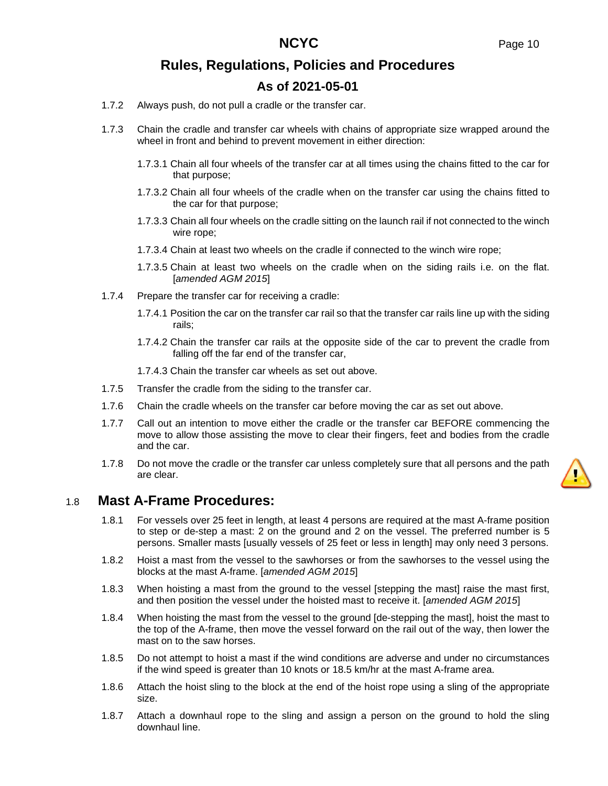- 1.7.2 Always push, do not pull a cradle or the transfer car.
- 1.7.3 Chain the cradle and transfer car wheels with chains of appropriate size wrapped around the wheel in front and behind to prevent movement in either direction:
	- 1.7.3.1 Chain all four wheels of the transfer car at all times using the chains fitted to the car for that purpose;
	- 1.7.3.2 Chain all four wheels of the cradle when on the transfer car using the chains fitted to the car for that purpose;
	- 1.7.3.3 Chain all four wheels on the cradle sitting on the launch rail if not connected to the winch wire rope;
	- 1.7.3.4 Chain at least two wheels on the cradle if connected to the winch wire rope;
	- 1.7.3.5 Chain at least two wheels on the cradle when on the siding rails i.e. on the flat. [*amended AGM 2015*]
- 1.7.4 Prepare the transfer car for receiving a cradle:
	- 1.7.4.1 Position the car on the transfer car rail so that the transfer car rails line up with the siding rails;
	- 1.7.4.2 Chain the transfer car rails at the opposite side of the car to prevent the cradle from falling off the far end of the transfer car,

1.7.4.3 Chain the transfer car wheels as set out above.

- 1.7.5 Transfer the cradle from the siding to the transfer car.
- 1.7.6 Chain the cradle wheels on the transfer car before moving the car as set out above.
- 1.7.7 Call out an intention to move either the cradle or the transfer car BEFORE commencing the move to allow those assisting the move to clear their fingers, feet and bodies from the cradle and the car.
- 1.7.8 Do not move the cradle or the transfer car unless completely sure that all persons and the path are clear.

# 1.8 **Mast A-Frame Procedures:**

- 1.8.1 For vessels over 25 feet in length, at least 4 persons are required at the mast A-frame position to step or de-step a mast: 2 on the ground and 2 on the vessel. The preferred number is 5 persons. Smaller masts [usually vessels of 25 feet or less in length] may only need 3 persons.
- 1.8.2 Hoist a mast from the vessel to the sawhorses or from the sawhorses to the vessel using the blocks at the mast A-frame. [*amended AGM 2015*]
- 1.8.3 When hoisting a mast from the ground to the vessel [stepping the mast] raise the mast first, and then position the vessel under the hoisted mast to receive it. [*amended AGM 2015*]
- 1.8.4 When hoisting the mast from the vessel to the ground [de-stepping the mast], hoist the mast to the top of the A-frame, then move the vessel forward on the rail out of the way, then lower the mast on to the saw horses.
- 1.8.5 Do not attempt to hoist a mast if the wind conditions are adverse and under no circumstances if the wind speed is greater than 10 knots or 18.5 km/hr at the mast A-frame area.
- 1.8.6 Attach the hoist sling to the block at the end of the hoist rope using a sling of the appropriate size.
- 1.8.7 Attach a downhaul rope to the sling and assign a person on the ground to hold the sling downhaul line.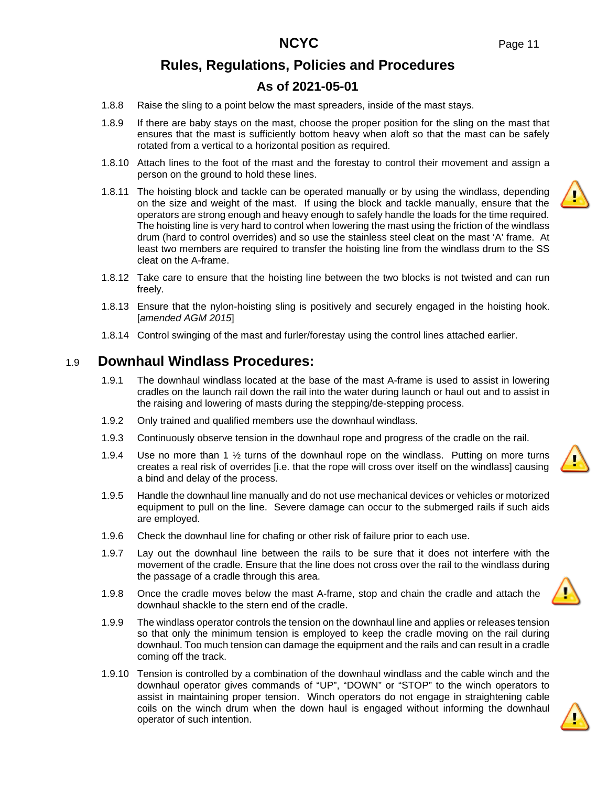# **As of 2021-05-01**

- 1.8.8 Raise the sling to a point below the mast spreaders, inside of the mast stays.
- 1.8.9 If there are baby stays on the mast, choose the proper position for the sling on the mast that ensures that the mast is sufficiently bottom heavy when aloft so that the mast can be safely rotated from a vertical to a horizontal position as required.
- 1.8.10 Attach lines to the foot of the mast and the forestay to control their movement and assign a person on the ground to hold these lines.
- 1.8.11 The hoisting block and tackle can be operated manually or by using the windlass, depending on the size and weight of the mast. If using the block and tackle manually, ensure that the operators are strong enough and heavy enough to safely handle the loads for the time required. The hoisting line is very hard to control when lowering the mast using the friction of the windlass drum (hard to control overrides) and so use the stainless steel cleat on the mast 'A' frame. At least two members are required to transfer the hoisting line from the windlass drum to the SS cleat on the A-frame.
- 1.8.12 Take care to ensure that the hoisting line between the two blocks is not twisted and can run freely.
- 1.8.13 Ensure that the nylon-hoisting sling is positively and securely engaged in the hoisting hook. [*amended AGM 2015*]
- 1.8.14 Control swinging of the mast and furler/forestay using the control lines attached earlier.

### 1.9 **Downhaul Windlass Procedures:**

- 1.9.1 The downhaul windlass located at the base of the mast A-frame is used to assist in lowering cradles on the launch rail down the rail into the water during launch or haul out and to assist in the raising and lowering of masts during the stepping/de-stepping process.
- 1.9.2 Only trained and qualified members use the downhaul windlass.
- 1.9.3 Continuously observe tension in the downhaul rope and progress of the cradle on the rail.
- 1.9.4 Use no more than 1 ½ turns of the downhaul rope on the windlass. Putting on more turns creates a real risk of overrides [i.e. that the rope will cross over itself on the windlass] causing a bind and delay of the process.
- 1.9.5 Handle the downhaul line manually and do not use mechanical devices or vehicles or motorized equipment to pull on the line. Severe damage can occur to the submerged rails if such aids are employed.
- 1.9.6 Check the downhaul line for chafing or other risk of failure prior to each use.
- 1.9.7 Lay out the downhaul line between the rails to be sure that it does not interfere with the movement of the cradle. Ensure that the line does not cross over the rail to the windlass during the passage of a cradle through this area.
- 1.9.8 Once the cradle moves below the mast A-frame, stop and chain the cradle and attach the downhaul shackle to the stern end of the cradle.
- 1.9.9 The windlass operator controls the tension on the downhaul line and applies or releases tension so that only the minimum tension is employed to keep the cradle moving on the rail during downhaul. Too much tension can damage the equipment and the rails and can result in a cradle coming off the track.
- 1.9.10 Tension is controlled by a combination of the downhaul windlass and the cable winch and the downhaul operator gives commands of "UP", "DOWN" or "STOP" to the winch operators to assist in maintaining proper tension. Winch operators do not engage in straightening cable coils on the winch drum when the down haul is engaged without informing the downhaul operator of such intention.





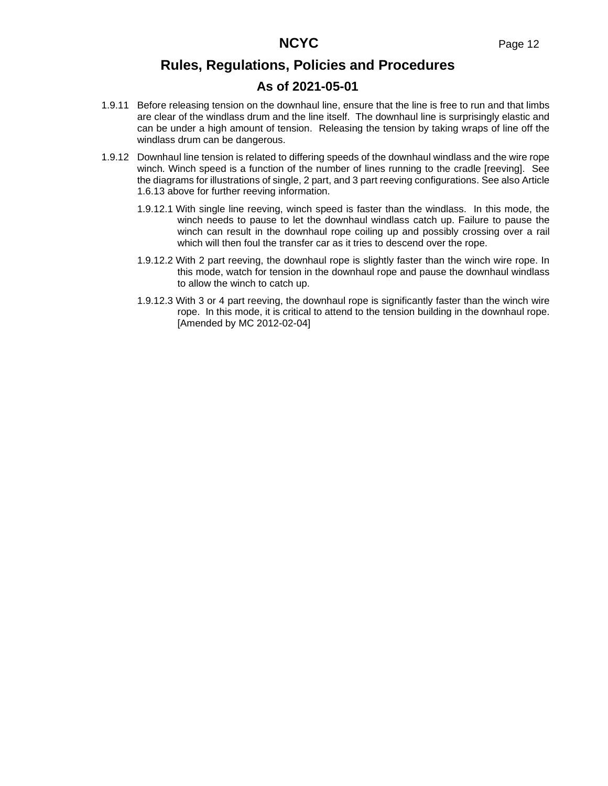# **As of 2021-05-01**

- 1.9.11 Before releasing tension on the downhaul line, ensure that the line is free to run and that limbs are clear of the windlass drum and the line itself. The downhaul line is surprisingly elastic and can be under a high amount of tension. Releasing the tension by taking wraps of line off the windlass drum can be dangerous.
- 1.9.12 Downhaul line tension is related to differing speeds of the downhaul windlass and the wire rope winch. Winch speed is a function of the number of lines running to the cradle [reeving]. See the diagrams for illustrations of single, 2 part, and 3 part reeving configurations. See also Article [1.6.13 above](#page-8-0) for further reeving information.
	- 1.9.12.1 With single line reeving, winch speed is faster than the windlass. In this mode, the winch needs to pause to let the downhaul windlass catch up. Failure to pause the winch can result in the downhaul rope coiling up and possibly crossing over a rail which will then foul the transfer car as it tries to descend over the rope.
	- 1.9.12.2 With 2 part reeving, the downhaul rope is slightly faster than the winch wire rope. In this mode, watch for tension in the downhaul rope and pause the downhaul windlass to allow the winch to catch up.
	- 1.9.12.3 With 3 or 4 part reeving, the downhaul rope is significantly faster than the winch wire rope. In this mode, it is critical to attend to the tension building in the downhaul rope. [Amended by MC 2012-02-04]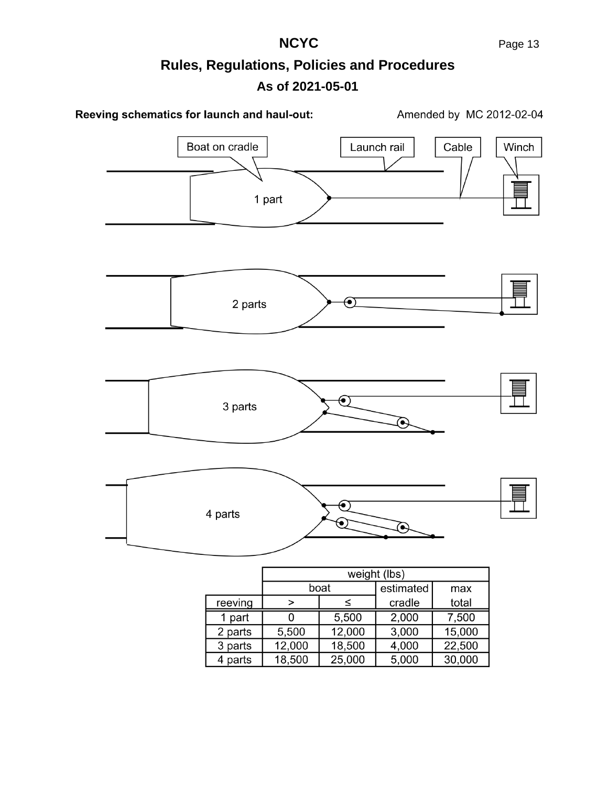**NCYC** Page 13

# **Rules, Regulations, Policies and Procedures As of 2021-05-01**



|         | weight (lbs) |        |           |        |  |  |  |  |
|---------|--------------|--------|-----------|--------|--|--|--|--|
|         |              | boat   | estimated | max    |  |  |  |  |
| reeving |              |        | cradle    | total  |  |  |  |  |
| 1 part  |              | 5,500  | 2,000     | 7,500  |  |  |  |  |
| 2 parts | 5,500        | 12,000 | 3,000     | 15,000 |  |  |  |  |
| 3 parts | 12,000       | 18,500 | 4,000     | 22,500 |  |  |  |  |
| 4 parts | 18,500       | 25,000 | 5,000     | 30,000 |  |  |  |  |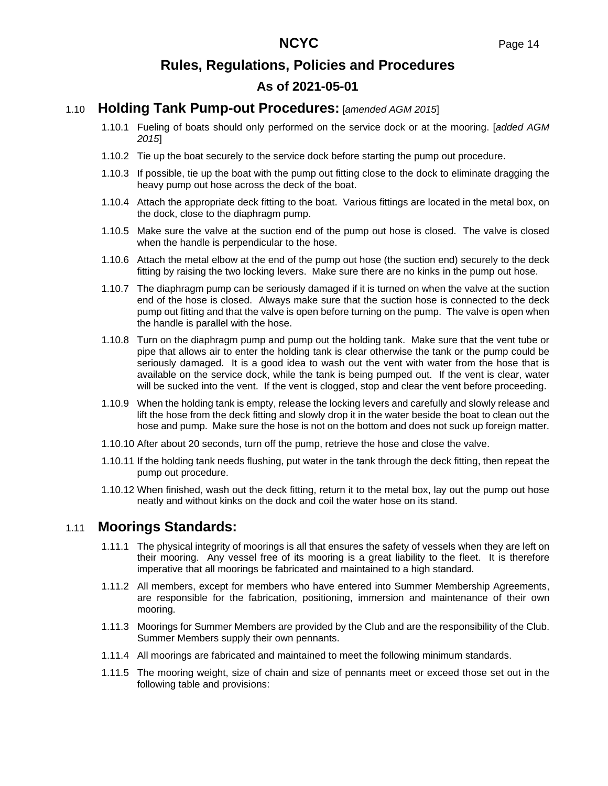### 1.10 **Holding Tank Pump-out Procedures:** [*amended AGM 2015*]

- 1.10.1 Fueling of boats should only performed on the service dock or at the mooring. [*added AGM 2015*]
- 1.10.2 Tie up the boat securely to the service dock before starting the pump out procedure.
- 1.10.3 If possible, tie up the boat with the pump out fitting close to the dock to eliminate dragging the heavy pump out hose across the deck of the boat.
- 1.10.4 Attach the appropriate deck fitting to the boat. Various fittings are located in the metal box, on the dock, close to the diaphragm pump.
- 1.10.5 Make sure the valve at the suction end of the pump out hose is closed. The valve is closed when the handle is perpendicular to the hose.
- 1.10.6 Attach the metal elbow at the end of the pump out hose (the suction end) securely to the deck fitting by raising the two locking levers. Make sure there are no kinks in the pump out hose.
- 1.10.7 The diaphragm pump can be seriously damaged if it is turned on when the valve at the suction end of the hose is closed. Always make sure that the suction hose is connected to the deck pump out fitting and that the valve is open before turning on the pump. The valve is open when the handle is parallel with the hose.
- 1.10.8 Turn on the diaphragm pump and pump out the holding tank. Make sure that the vent tube or pipe that allows air to enter the holding tank is clear otherwise the tank or the pump could be seriously damaged. It is a good idea to wash out the vent with water from the hose that is available on the service dock, while the tank is being pumped out. If the vent is clear, water will be sucked into the vent. If the vent is clogged, stop and clear the vent before proceeding.
- 1.10.9 When the holding tank is empty, release the locking levers and carefully and slowly release and lift the hose from the deck fitting and slowly drop it in the water beside the boat to clean out the hose and pump. Make sure the hose is not on the bottom and does not suck up foreign matter.
- 1.10.10 After about 20 seconds, turn off the pump, retrieve the hose and close the valve.
- 1.10.11 If the holding tank needs flushing, put water in the tank through the deck fitting, then repeat the pump out procedure.
- 1.10.12 When finished, wash out the deck fitting, return it to the metal box, lay out the pump out hose neatly and without kinks on the dock and coil the water hose on its stand.

### 1.11 **Moorings Standards:**

- 1.11.1 The physical integrity of moorings is all that ensures the safety of vessels when they are left on their mooring. Any vessel free of its mooring is a great liability to the fleet. It is therefore imperative that all moorings be fabricated and maintained to a high standard.
- 1.11.2 All members, except for members who have entered into Summer Membership Agreements, are responsible for the fabrication, positioning, immersion and maintenance of their own mooring.
- 1.11.3 Moorings for Summer Members are provided by the Club and are the responsibility of the Club. Summer Members supply their own pennants.
- 1.11.4 All moorings are fabricated and maintained to meet the following minimum standards.
- 1.11.5 The mooring weight, size of chain and size of pennants meet or exceed those set out in the following table and provisions: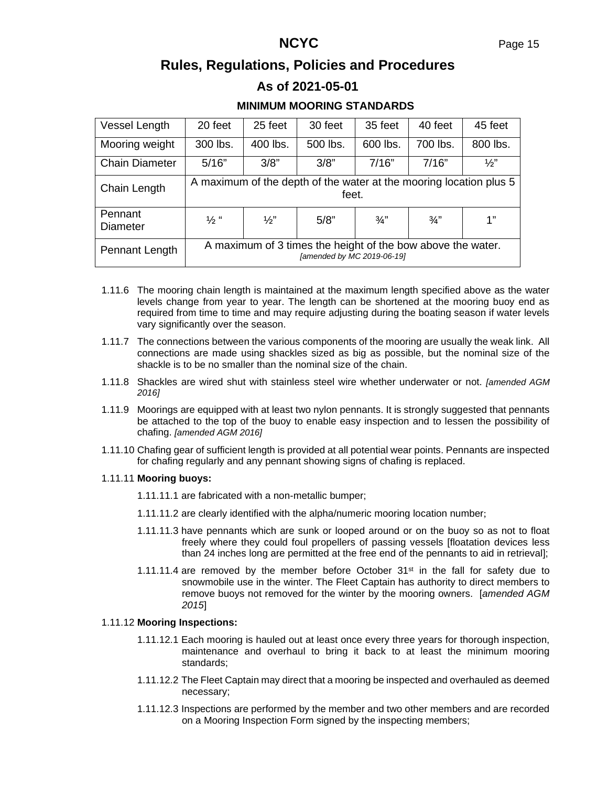### **As of 2021-05-01**

### **MINIMUM MOORING STANDARDS**

| Vessel Length              | 20 feet                                                                                   | 25 feet         | 30 feet  | 35 feet       | 40 feet       | 45 feet       |  |  |
|----------------------------|-------------------------------------------------------------------------------------------|-----------------|----------|---------------|---------------|---------------|--|--|
| Mooring weight             | 300 lbs.                                                                                  | 400 lbs.        | 500 lbs. | 600 lbs.      | 700 lbs.      | 800 lbs.      |  |  |
| <b>Chain Diameter</b>      | 5/16"                                                                                     | 3/8"            | 3/8"     | 7/16"         | 7/16"         | $\frac{1}{2}$ |  |  |
| Chain Length               | A maximum of the depth of the water at the mooring location plus 5<br>feet.               |                 |          |               |               |               |  |  |
| Pennant<br><b>Diameter</b> | $\frac{1}{2}$ "                                                                           | $\frac{1}{2}$ " | 5/8"     | $\frac{3}{4}$ | $\frac{3}{4}$ | 1"            |  |  |
| Pennant Length             | A maximum of 3 times the height of the bow above the water.<br>[amended by MC 2019-06-19] |                 |          |               |               |               |  |  |

- 1.11.6 The mooring chain length is maintained at the maximum length specified above as the water levels change from year to year. The length can be shortened at the mooring buoy end as required from time to time and may require adjusting during the boating season if water levels vary significantly over the season.
- 1.11.7 The connections between the various components of the mooring are usually the weak link. All connections are made using shackles sized as big as possible, but the nominal size of the shackle is to be no smaller than the nominal size of the chain.
- 1.11.8 Shackles are wired shut with stainless steel wire whether underwater or not. *[amended AGM 2016]*
- 1.11.9 Moorings are equipped with at least two nylon pennants. It is strongly suggested that pennants be attached to the top of the buoy to enable easy inspection and to lessen the possibility of chafing. *[amended AGM 2016]*
- 1.11.10 Chafing gear of sufficient length is provided at all potential wear points. Pennants are inspected for chafing regularly and any pennant showing signs of chafing is replaced.

#### 1.11.11 **Mooring buoys:**

1.11.11.1 are fabricated with a non-metallic bumper;

- 1.11.11.2 are clearly identified with the alpha/numeric mooring location number;
- 1.11.11.3 have pennants which are sunk or looped around or on the buoy so as not to float freely where they could foul propellers of passing vessels [floatation devices less than 24 inches long are permitted at the free end of the pennants to aid in retrieval];
- 1.11.11.4 are removed by the member before October  $31<sup>st</sup>$  in the fall for safety due to snowmobile use in the winter. The Fleet Captain has authority to direct members to remove buoys not removed for the winter by the mooring owners. [*amended AGM 2015*]

#### 1.11.12 **Mooring Inspections:**

- 1.11.12.1 Each mooring is hauled out at least once every three years for thorough inspection, maintenance and overhaul to bring it back to at least the minimum mooring standards;
- 1.11.12.2 The Fleet Captain may direct that a mooring be inspected and overhauled as deemed necessary;
- 1.11.12.3 Inspections are performed by the member and two other members and are recorded on a Mooring Inspection Form signed by the inspecting members;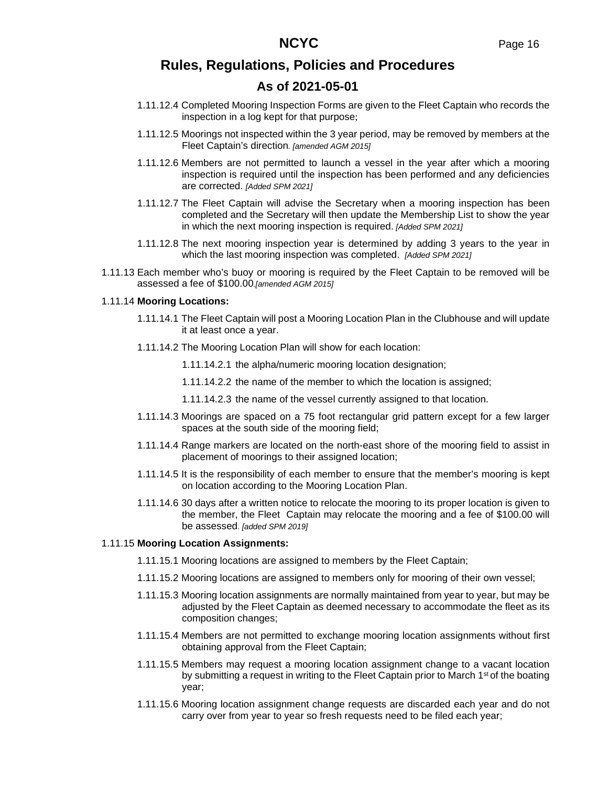# **As of 2021-05-01**

- 1.11.12.4 Completed Mooring Inspection Forms are given to the Fleet Captain who records the inspection in a log kept for that purpose;
- 1.11.12.5 Moorings not inspected within the 3 year period, may be removed by members at the Fleet Captain's direction*. [amended AGM 2015]*
- 1.11.12.6 Members are not permitted to launch a vessel in the year after which a mooring inspection is required until the inspection has been performed and any deficiencies are corrected. *[Added SPM 2021]*
- 1.11.12.7 The Fleet Captain will advise the Secretary when a mooring inspection has been completed and the Secretary will then update the Membership List to show the year in which the next mooring inspection is required. *[Added SPM 2021]*
- 1.11.12.8 The next mooring inspection year is determined by adding 3 years to the year in which the last mooring inspection was completed. *[Added SPM 2021]*
- 1.11.13 Each member who's buoy or mooring is required by the Fleet Captain to be removed will be assessed a fee of \$100.00*.[amended AGM 2015]*

#### 1.11.14 **Mooring Locations:**

- 1.11.14.1 The Fleet Captain will post a Mooring Location Plan in the Clubhouse and will update it at least once a year.
- 1.11.14.2 The Mooring Location Plan will show for each location:
	- 1.11.14.2.1 the alpha/numeric mooring location designation;
	- 1.11.14.2.2 the name of the member to which the location is assigned;
	- 1.11.14.2.3 the name of the vessel currently assigned to that location.
- 1.11.14.3 Moorings are spaced on a 75 foot rectangular grid pattern except for a few larger spaces at the south side of the mooring field;
- 1.11.14.4 Range markers are located on the north-east shore of the mooring field to assist in placement of moorings to their assigned location;
- 1.11.14.5 It is the responsibility of each member to ensure that the member's mooring is kept on location according to the Mooring Location Plan.
- 1.11.14.6 30 days after a written notice to relocate the mooring to its proper location is given to the member, the Fleet Captain may relocate the mooring and a fee of \$100.00 will be assessed. *[added SPM 2019]*

#### 1.11.15 **Mooring Location Assignments:**

- 1.11.15.1 Mooring locations are assigned to members by the Fleet Captain;
- 1.11.15.2 Mooring locations are assigned to members only for mooring of their own vessel;
- 1.11.15.3 Mooring location assignments are normally maintained from year to year, but may be adjusted by the Fleet Captain as deemed necessary to accommodate the fleet as its composition changes;
- 1.11.15.4 Members are not permitted to exchange mooring location assignments without first obtaining approval from the Fleet Captain;
- 1.11.15.5 Members may request a mooring location assignment change to a vacant location by submitting a request in writing to the Fleet Captain prior to March 1<sup>st</sup> of the boating year;
- 1.11.15.6 Mooring location assignment change requests are discarded each year and do not carry over from year to year so fresh requests need to be filed each year;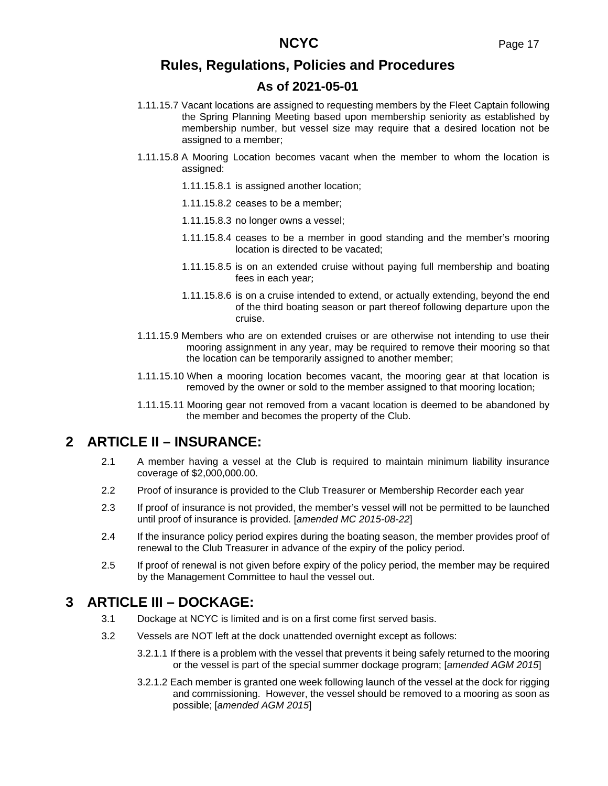# **As of 2021-05-01**

- 1.11.15.7 Vacant locations are assigned to requesting members by the Fleet Captain following the Spring Planning Meeting based upon membership seniority as established by membership number, but vessel size may require that a desired location not be assigned to a member;
- 1.11.15.8 A Mooring Location becomes vacant when the member to whom the location is assigned:
	- 1.11.15.8.1 is assigned another location;
	- 1.11.15.8.2 ceases to be a member;
	- 1.11.15.8.3 no longer owns a vessel;
	- 1.11.15.8.4 ceases to be a member in good standing and the member's mooring location is directed to be vacated;
	- 1.11.15.8.5 is on an extended cruise without paying full membership and boating fees in each year;
	- 1.11.15.8.6 is on a cruise intended to extend, or actually extending, beyond the end of the third boating season or part thereof following departure upon the cruise.
- 1.11.15.9 Members who are on extended cruises or are otherwise not intending to use their mooring assignment in any year, may be required to remove their mooring so that the location can be temporarily assigned to another member;
- 1.11.15.10 When a mooring location becomes vacant, the mooring gear at that location is removed by the owner or sold to the member assigned to that mooring location;
- 1.11.15.11 Mooring gear not removed from a vacant location is deemed to be abandoned by the member and becomes the property of the Club.

# **2 ARTICLE II – INSURANCE:**

- 2.1 A member having a vessel at the Club is required to maintain minimum liability insurance coverage of \$2,000,000.00.
- 2.2 Proof of insurance is provided to the Club Treasurer or Membership Recorder each year
- 2.3 If proof of insurance is not provided, the member's vessel will not be permitted to be launched until proof of insurance is provided. [*amended MC 2015-08-22*]
- 2.4 If the insurance policy period expires during the boating season, the member provides proof of renewal to the Club Treasurer in advance of the expiry of the policy period.
- 2.5 If proof of renewal is not given before expiry of the policy period, the member may be required by the Management Committee to haul the vessel out.

# **3 ARTICLE III – DOCKAGE:**

- 3.1 Dockage at NCYC is limited and is on a first come first served basis.
- 3.2 Vessels are NOT left at the dock unattended overnight except as follows:
	- 3.2.1.1 If there is a problem with the vessel that prevents it being safely returned to the mooring or the vessel is part of the special summer dockage program; [*amended AGM 2015*]
	- 3.2.1.2 Each member is granted one week following launch of the vessel at the dock for rigging and commissioning. However, the vessel should be removed to a mooring as soon as possible; [*amended AGM 2015*]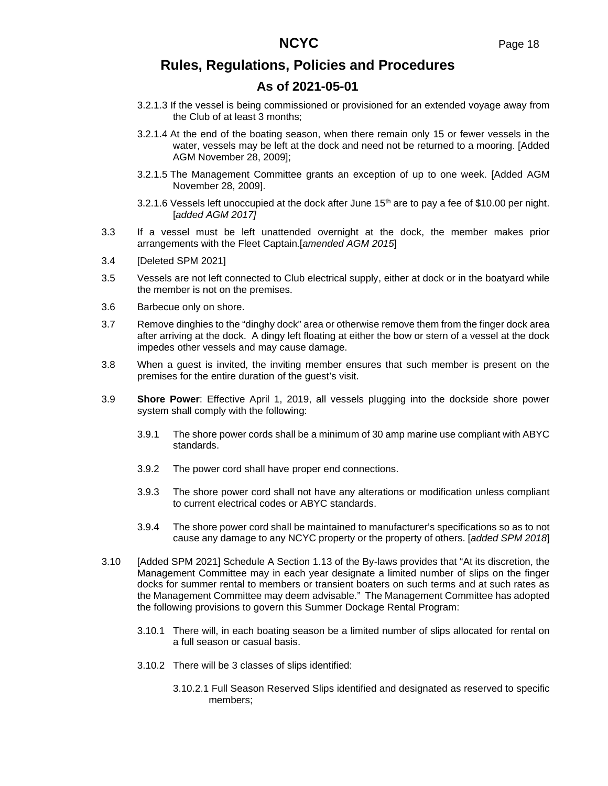# **As of 2021-05-01**

- 3.2.1.3 If the vessel is being commissioned or provisioned for an extended voyage away from the Club of at least 3 months;
- 3.2.1.4 At the end of the boating season, when there remain only 15 or fewer vessels in the water, vessels may be left at the dock and need not be returned to a mooring. [Added AGM November 28, 2009];
- 3.2.1.5 The Management Committee grants an exception of up to one week. [Added AGM November 28, 2009].
- 3.2.1.6 Vessels left unoccupied at the dock after June  $15<sup>th</sup>$  are to pay a fee of \$10.00 per night. [*added AGM 2017]*
- 3.3 If a vessel must be left unattended overnight at the dock, the member makes prior arrangements with the Fleet Captain.[*amended AGM 2015*]
- 3.4 [Deleted SPM 2021]
- 3.5 Vessels are not left connected to Club electrical supply, either at dock or in the boatyard while the member is not on the premises.
- 3.6 Barbecue only on shore.
- 3.7 Remove dinghies to the "dinghy dock" area or otherwise remove them from the finger dock area after arriving at the dock. A dingy left floating at either the bow or stern of a vessel at the dock impedes other vessels and may cause damage.
- 3.8 When a guest is invited, the inviting member ensures that such member is present on the premises for the entire duration of the guest's visit.
- 3.9 **Shore Power**: Effective April 1, 2019, all vessels plugging into the dockside shore power system shall comply with the following:
	- 3.9.1 The shore power cords shall be a minimum of 30 amp marine use compliant with ABYC standards.
	- 3.9.2 The power cord shall have proper end connections.
	- 3.9.3 The shore power cord shall not have any alterations or modification unless compliant to current electrical codes or ABYC standards.
	- 3.9.4 The shore power cord shall be maintained to manufacturer's specifications so as to not cause any damage to any NCYC property or the property of others. [*added SPM 2018*]
- 3.10 [Added SPM 2021] Schedule A Section 1.13 of the By-laws provides that "At its discretion, the Management Committee may in each year designate a limited number of slips on the finger docks for summer rental to members or transient boaters on such terms and at such rates as the Management Committee may deem advisable." The Management Committee has adopted the following provisions to govern this Summer Dockage Rental Program:
	- 3.10.1 There will, in each boating season be a limited number of slips allocated for rental on a full season or casual basis.
	- 3.10.2 There will be 3 classes of slips identified:
		- 3.10.2.1 Full Season Reserved Slips identified and designated as reserved to specific members;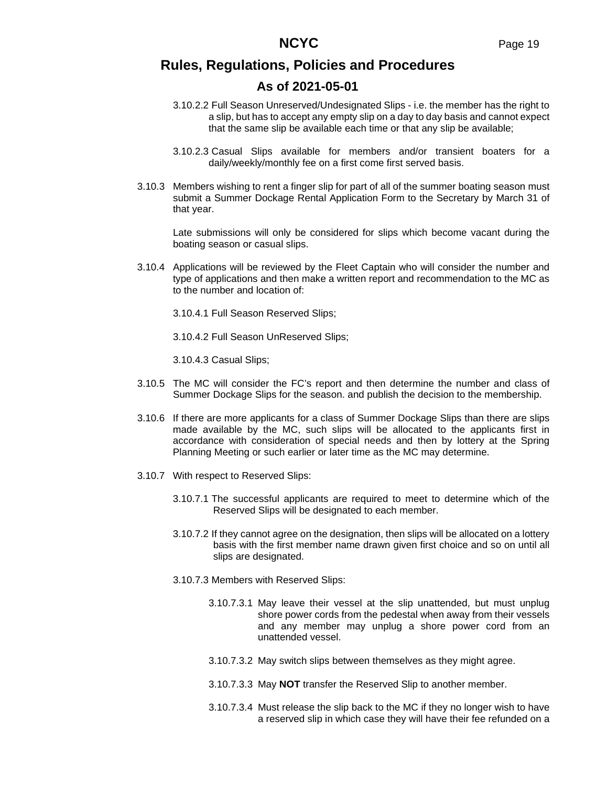### **As of 2021-05-01**

- 3.10.2.2 Full Season Unreserved/Undesignated Slips i.e. the member has the right to a slip, but has to accept any empty slip on a day to day basis and cannot expect that the same slip be available each time or that any slip be available;
- 3.10.2.3 Casual Slips available for members and/or transient boaters for a daily/weekly/monthly fee on a first come first served basis.
- 3.10.3 Members wishing to rent a finger slip for part of all of the summer boating season must submit a Summer Dockage Rental Application Form to the Secretary by March 31 of that year.

Late submissions will only be considered for slips which become vacant during the boating season or casual slips.

3.10.4 Applications will be reviewed by the Fleet Captain who will consider the number and type of applications and then make a written report and recommendation to the MC as to the number and location of:

3.10.4.1 Full Season Reserved Slips;

3.10.4.2 Full Season UnReserved Slips;

3.10.4.3 Casual Slips;

- 3.10.5 The MC will consider the FC's report and then determine the number and class of Summer Dockage Slips for the season. and publish the decision to the membership.
- 3.10.6 If there are more applicants for a class of Summer Dockage Slips than there are slips made available by the MC, such slips will be allocated to the applicants first in accordance with consideration of special needs and then by lottery at the Spring Planning Meeting or such earlier or later time as the MC may determine.
- 3.10.7 With respect to Reserved Slips:
	- 3.10.7.1 The successful applicants are required to meet to determine which of the Reserved Slips will be designated to each member.
	- 3.10.7.2 If they cannot agree on the designation, then slips will be allocated on a lottery basis with the first member name drawn given first choice and so on until all slips are designated.
	- 3.10.7.3 Members with Reserved Slips:
		- 3.10.7.3.1 May leave their vessel at the slip unattended, but must unplug shore power cords from the pedestal when away from their vessels and any member may unplug a shore power cord from an unattended vessel.
		- 3.10.7.3.2 May switch slips between themselves as they might agree.
		- 3.10.7.3.3 May **NOT** transfer the Reserved Slip to another member.
		- 3.10.7.3.4 Must release the slip back to the MC if they no longer wish to have a reserved slip in which case they will have their fee refunded on a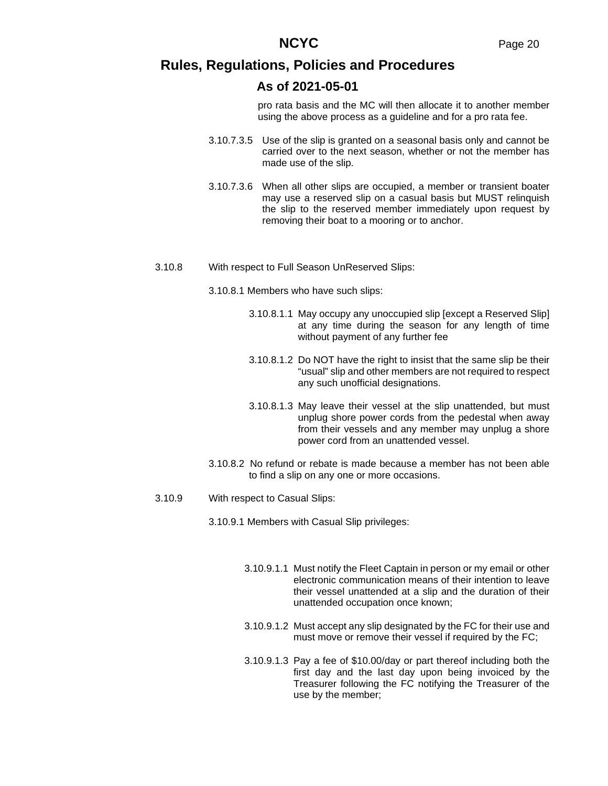### **As of 2021-05-01**

pro rata basis and the MC will then allocate it to another member using the above process as a guideline and for a pro rata fee.

- 3.10.7.3.5 Use of the slip is granted on a seasonal basis only and cannot be carried over to the next season, whether or not the member has made use of the slip.
- 3.10.7.3.6 When all other slips are occupied, a member or transient boater may use a reserved slip on a casual basis but MUST relinquish the slip to the reserved member immediately upon request by removing their boat to a mooring or to anchor.
- 3.10.8 With respect to Full Season UnReserved Slips:

3.10.8.1 Members who have such slips:

- 3.10.8.1.1 May occupy any unoccupied slip [except a Reserved Slip] at any time during the season for any length of time without payment of any further fee
- 3.10.8.1.2 Do NOT have the right to insist that the same slip be their "usual" slip and other members are not required to respect any such unofficial designations.
- 3.10.8.1.3 May leave their vessel at the slip unattended, but must unplug shore power cords from the pedestal when away from their vessels and any member may unplug a shore power cord from an unattended vessel.
- 3.10.8.2 No refund or rebate is made because a member has not been able to find a slip on any one or more occasions.
- 3.10.9 With respect to Casual Slips:
	- 3.10.9.1 Members with Casual Slip privileges:
		- 3.10.9.1.1 Must notify the Fleet Captain in person or my email or other electronic communication means of their intention to leave their vessel unattended at a slip and the duration of their unattended occupation once known;
		- 3.10.9.1.2 Must accept any slip designated by the FC for their use and must move or remove their vessel if required by the FC;
		- 3.10.9.1.3 Pay a fee of \$10.00/day or part thereof including both the first day and the last day upon being invoiced by the Treasurer following the FC notifying the Treasurer of the use by the member;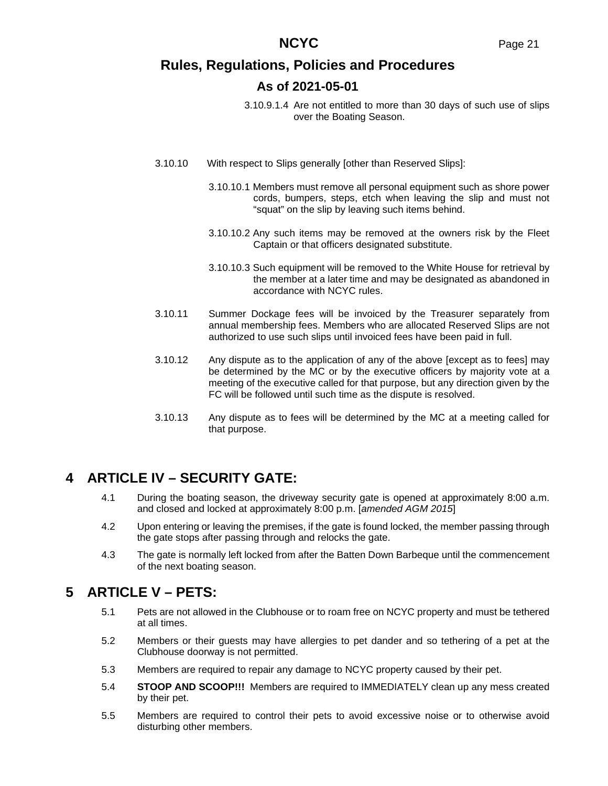- 3.10.9.1.4 Are not entitled to more than 30 days of such use of slips over the Boating Season.
- 3.10.10 With respect to Slips generally [other than Reserved Slips]:
	- 3.10.10.1 Members must remove all personal equipment such as shore power cords, bumpers, steps, etch when leaving the slip and must not "squat" on the slip by leaving such items behind.
	- 3.10.10.2 Any such items may be removed at the owners risk by the Fleet Captain or that officers designated substitute.
	- 3.10.10.3 Such equipment will be removed to the White House for retrieval by the member at a later time and may be designated as abandoned in accordance with NCYC rules.
- 3.10.11 Summer Dockage fees will be invoiced by the Treasurer separately from annual membership fees. Members who are allocated Reserved Slips are not authorized to use such slips until invoiced fees have been paid in full.
- 3.10.12 Any dispute as to the application of any of the above [except as to fees] may be determined by the MC or by the executive officers by majority vote at a meeting of the executive called for that purpose, but any direction given by the FC will be followed until such time as the dispute is resolved.
- 3.10.13 Any dispute as to fees will be determined by the MC at a meeting called for that purpose.

# **4 ARTICLE IV – SECURITY GATE:**

- 4.1 During the boating season, the driveway security gate is opened at approximately 8:00 a.m. and closed and locked at approximately 8:00 p.m. [*amended AGM 2015*]
- 4.2 Upon entering or leaving the premises, if the gate is found locked, the member passing through the gate stops after passing through and relocks the gate.
- 4.3 The gate is normally left locked from after the Batten Down Barbeque until the commencement of the next boating season.

# **5 ARTICLE V – PETS:**

- 5.1 Pets are not allowed in the Clubhouse or to roam free on NCYC property and must be tethered at all times.
- 5.2 Members or their guests may have allergies to pet dander and so tethering of a pet at the Clubhouse doorway is not permitted.
- 5.3 Members are required to repair any damage to NCYC property caused by their pet.
- 5.4 **STOOP AND SCOOP!!!** Members are required to IMMEDIATELY clean up any mess created by their pet.
- 5.5 Members are required to control their pets to avoid excessive noise or to otherwise avoid disturbing other members.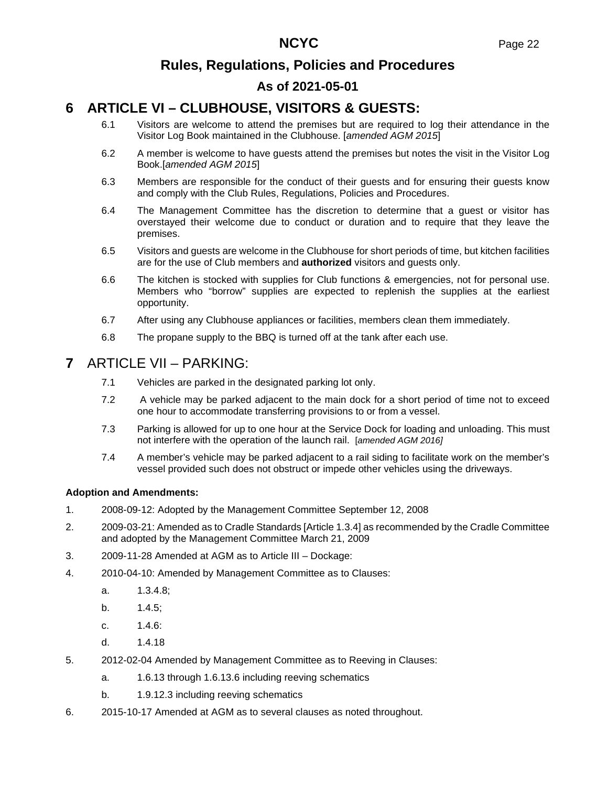# **As of 2021-05-01**

# **6 ARTICLE VI – CLUBHOUSE, VISITORS & GUESTS:**

- 6.1 Visitors are welcome to attend the premises but are required to log their attendance in the Visitor Log Book maintained in the Clubhouse. [*amended AGM 2015*]
- 6.2 A member is welcome to have guests attend the premises but notes the visit in the Visitor Log Book.[*amended AGM 2015*]
- 6.3 Members are responsible for the conduct of their guests and for ensuring their guests know and comply with the Club Rules, Regulations, Policies and Procedures.
- 6.4 The Management Committee has the discretion to determine that a guest or visitor has overstayed their welcome due to conduct or duration and to require that they leave the premises.
- 6.5 Visitors and guests are welcome in the Clubhouse for short periods of time, but kitchen facilities are for the use of Club members and **authorized** visitors and guests only.
- 6.6 The kitchen is stocked with supplies for Club functions & emergencies, not for personal use. Members who "borrow" supplies are expected to replenish the supplies at the earliest opportunity.
- 6.7 After using any Clubhouse appliances or facilities, members clean them immediately.
- 6.8 The propane supply to the BBQ is turned off at the tank after each use.

### **7** ARTICLE VII – PARKING:

- 7.1 Vehicles are parked in the designated parking lot only.
- 7.2 A vehicle may be parked adjacent to the main dock for a short period of time not to exceed one hour to accommodate transferring provisions to or from a vessel.
- 7.3 Parking is allowed for up to one hour at the Service Dock for loading and unloading. This must not interfere with the operation of the launch rail. [*amended AGM 2016]*
- 7.4 A member's vehicle may be parked adjacent to a rail siding to facilitate work on the member's vessel provided such does not obstruct or impede other vehicles using the driveways.

#### **Adoption and Amendments:**

- 1. 2008-09-12: Adopted by the Management Committee September 12, 2008
- 2. 2009-03-21: Amended as to Cradle Standards [Article 1.3.4] as recommended by the Cradle Committee and adopted by the Management Committee March 21, 2009
- 3. 2009-11-28 Amended at AGM as to Article III Dockage:
- 4. 2010-04-10: Amended by Management Committee as to Clauses:
	- a. 1.3.4.8;
	- b. 1.4.5;
	- c. 1.4.6:
	- d. 1.4.18
- 5. 2012-02-04 Amended by Management Committee as to Reeving in Clauses:
	- a. 1.6.13 through 1.6.13.6 including reeving schematics
	- b. 1.9.12.3 including reeving schematics
- 6. 2015-10-17 Amended at AGM as to several clauses as noted throughout.